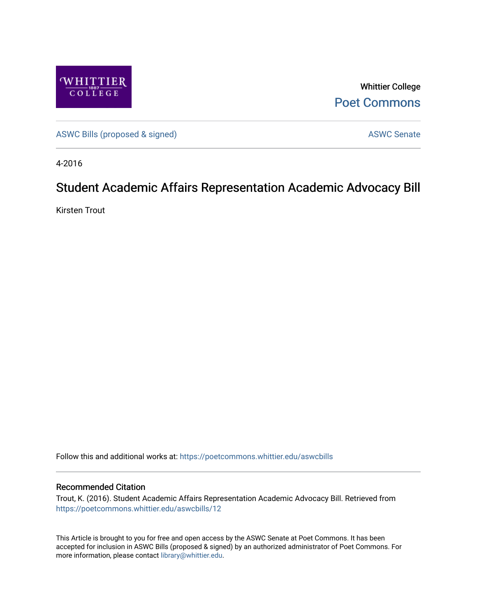

Whittier College [Poet Commons](https://poetcommons.whittier.edu/) 

[ASWC Bills \(proposed & signed\)](https://poetcommons.whittier.edu/aswcbills) ASWC Senate

4-2016

## Student Academic Affairs Representation Academic Advocacy Bill

Kirsten Trout

Follow this and additional works at: [https://poetcommons.whittier.edu/aswcbills](https://poetcommons.whittier.edu/aswcbills?utm_source=poetcommons.whittier.edu%2Faswcbills%2F12&utm_medium=PDF&utm_campaign=PDFCoverPages) 

## Recommended Citation

Trout, K. (2016). Student Academic Affairs Representation Academic Advocacy Bill. Retrieved from [https://poetcommons.whittier.edu/aswcbills/12](https://poetcommons.whittier.edu/aswcbills/12?utm_source=poetcommons.whittier.edu%2Faswcbills%2F12&utm_medium=PDF&utm_campaign=PDFCoverPages)

This Article is brought to you for free and open access by the ASWC Senate at Poet Commons. It has been accepted for inclusion in ASWC Bills (proposed & signed) by an authorized administrator of Poet Commons. For more information, please contact [library@whittier.edu.](mailto:library@whittier.edu)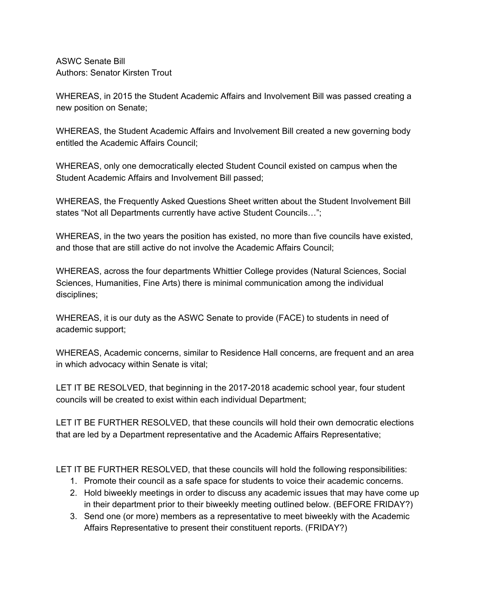ASWC Senate Bill Authors: Senator Kirsten Trout

WHEREAS, in 2015 the Student Academic Affairs and Involvement Bill was passed creating a new position on Senate;

WHEREAS, the Student Academic Affairs and Involvement Bill created a new governing body entitled the Academic Affairs Council;

WHEREAS, only one democratically elected Student Council existed on campus when the Student Academic Affairs and Involvement Bill passed;

WHEREAS, the Frequently Asked Questions Sheet written about the Student Involvement Bill states "Not all Departments currently have active Student Councils…";

WHEREAS, in the two years the position has existed, no more than five councils have existed, and those that are still active do not involve the Academic Affairs Council;

WHEREAS, across the four departments Whittier College provides (Natural Sciences, Social Sciences, Humanities, Fine Arts) there is minimal communication among the individual disciplines;

WHEREAS, it is our duty as the ASWC Senate to provide (FACE) to students in need of academic support;

WHEREAS, Academic concerns, similar to Residence Hall concerns, are frequent and an area in which advocacy within Senate is vital;

LET IT BE RESOLVED, that beginning in the 2017-2018 academic school year, four student councils will be created to exist within each individual Department;

LET IT BE FURTHER RESOLVED, that these councils will hold their own democratic elections that are led by a Department representative and the Academic Affairs Representative;

LET IT BE FURTHER RESOLVED, that these councils will hold the following responsibilities:

- 1. Promote their council as a safe space for students to voice their academic concerns.
- 2. Hold biweekly meetings in order to discuss any academic issues that may have come up in their department prior to their biweekly meeting outlined below. (BEFORE FRIDAY?)
- 3. Send one (or more) members as a representative to meet biweekly with the Academic Affairs Representative to present their constituent reports. (FRIDAY?)